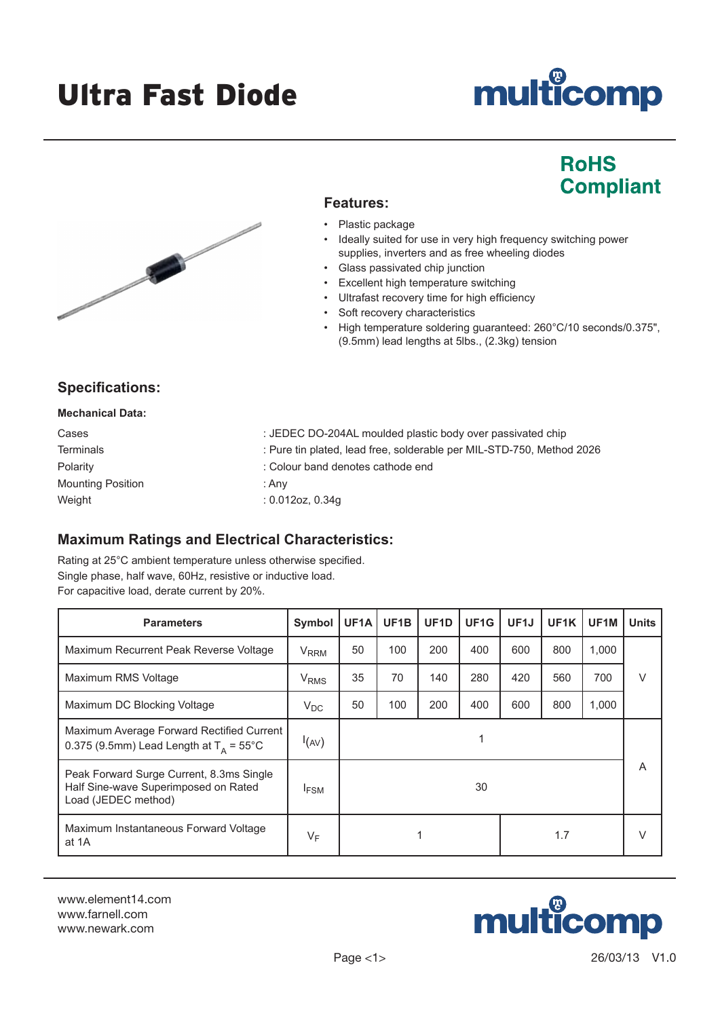# Ultra Fast Diode

# multicomp

# **RoHS Compliant**

#### **Features:**

- Plastic package
- Ideally suited for use in very high frequency switching power supplies, inverters and as free wheeling diodes
- Glass passivated chip junction
- Excellent high temperature switching
- Ultrafast recovery time for high efficiency
- Soft recovery characteristics
- High temperature soldering guaranteed: 260°C/10 seconds/0.375", (9.5mm) lead lengths at 5lbs., (2.3kg) tension

### **Specifications:**

#### **Mechanical Data:**

Mounting Position : Any Weight : 0.012oz, 0.34g

Cases : JEDEC DO-204AL moulded plastic body over passivated chip Terminals : Pure tin plated, lead free, solderable per MIL-STD-750, Method 2026 Polarity **Example 2018** 2019 : Colour band denotes cathode end

### **Maximum Ratings and Electrical Characteristics:**

Rating at 25°C ambient temperature unless otherwise specified. Single phase, half wave, 60Hz, resistive or inductive load. For capacitive load, derate current by 20%.

| <b>Parameters</b>                                                                                       | <b>Symbol</b>          | UF <sub>1</sub> A | UF <sub>1</sub> B | UF <sub>1</sub> D | UF <sub>1</sub> G | UF <sub>1</sub> J | UF <sub>1</sub> K | UF <sub>1</sub> M | <b>Units</b> |
|---------------------------------------------------------------------------------------------------------|------------------------|-------------------|-------------------|-------------------|-------------------|-------------------|-------------------|-------------------|--------------|
| Maximum Recurrent Peak Reverse Voltage                                                                  | <b>V<sub>RRM</sub></b> | 50                | 100               | 200               | 400               | 600               | 800               | 1,000             |              |
| Maximum RMS Voltage                                                                                     | <b>V<sub>RMS</sub></b> | 35                | 70                | 140               | 280               | 420               | 560               | 700               | V            |
| Maximum DC Blocking Voltage                                                                             | $V_{DC}$               | 50                | 100               | 200               | 400               | 600               | 800               | 1,000             |              |
| Maximum Average Forward Rectified Current<br>0.375 (9.5mm) Lead Length at $T_a = 55^{\circ}$ C          | $I_{(AV)}$             |                   |                   |                   |                   |                   |                   |                   |              |
| Peak Forward Surge Current, 8.3ms Single<br>Half Sine-wave Superimposed on Rated<br>Load (JEDEC method) | <sup>I</sup> FSM       | 30                |                   |                   |                   |                   | A                 |                   |              |
| Maximum Instantaneous Forward Voltage<br>at 1A                                                          | $V_F$                  | 1.7               |                   |                   |                   |                   | V                 |                   |              |

www.element14.com www.farnell.com www.newark.com



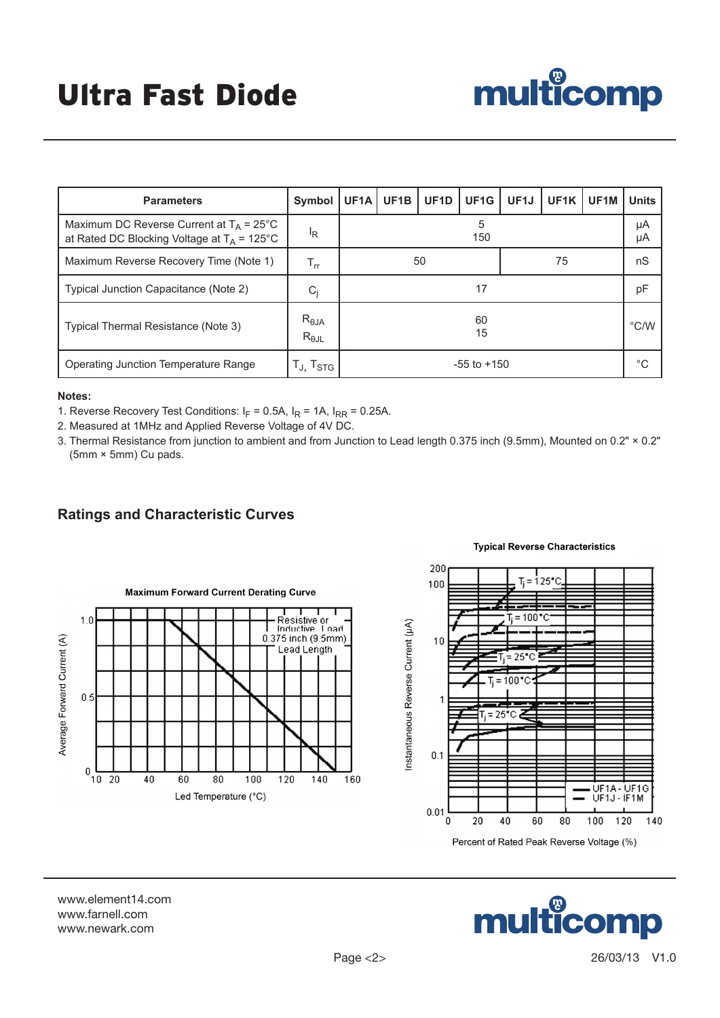

| <b>Parameters</b>                                                                                           | Symbol                           | UF <sub>1</sub> A | UF1B | UF <sub>1</sub> D | UF <sub>1</sub> G | UF <sub>1</sub> J | UF1K          | UF <sub>1</sub> M | <b>Units</b> |
|-------------------------------------------------------------------------------------------------------------|----------------------------------|-------------------|------|-------------------|-------------------|-------------------|---------------|-------------------|--------------|
| Maximum DC Reverse Current at $T_A = 25^{\circ}$ C<br>at Rated DC Blocking Voltage at $T_A = 125^{\circ}$ C | ΙR                               |                   |      |                   | 5<br>150          |                   |               |                   | μA<br>μA     |
| Maximum Reverse Recovery Time (Note 1)                                                                      | $T_{rr}$                         | 50                |      |                   | 75                |                   |               | nS                |              |
| Typical Junction Capacitance (Note 2)                                                                       | $C_i$                            | 17                |      |                   |                   |                   |               | pF                |              |
| Typical Thermal Resistance (Note 3)                                                                         | $R_{\theta$ JA<br>$R_{\theta$ JL | 60<br>15          |      |                   |                   |                   | $\degree$ C/W |                   |              |
| Operating Junction Temperature Range                                                                        | $T_J$ , $T_{STG}$                | $-55$ to $+150$   |      |                   |                   | °C                |               |                   |              |

#### **Notes:**

1. Reverse Recovery Test Conditions:  $I_F = 0.5A$ ,  $I_R = 1A$ ,  $I_{RR} = 0.25A$ .

- 2. Measured at 1MHz and Applied Reverse Voltage of 4V DC.
- 3. Thermal Resistance from junction to ambient and from Junction to Lead length 0.375 inch (9.5mm), Mounted on 0.2" × 0.2" (5mm × 5mm) Cu pads.

## **Ratings and Characteristic Curves**





www.element14.com www.farnell.com www.newark.com



**Typical Reverse Characteristics**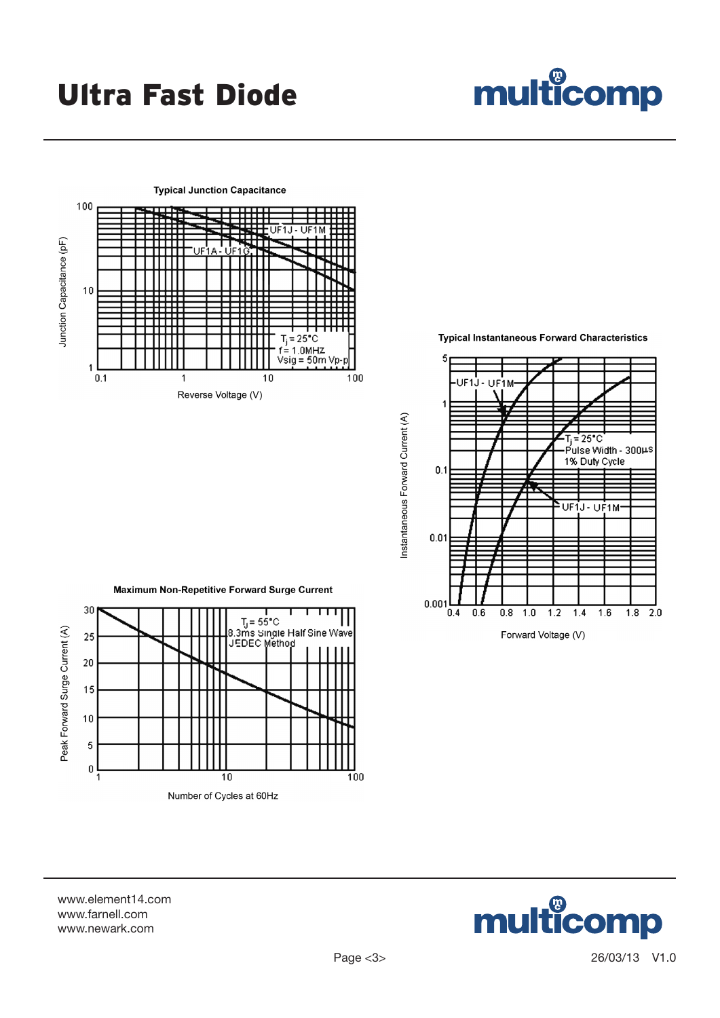# Ultra Fast Diode





**Typical Instantaneous Forward Characteristics** 





www.element14.com www.farnell.com www.newark.com